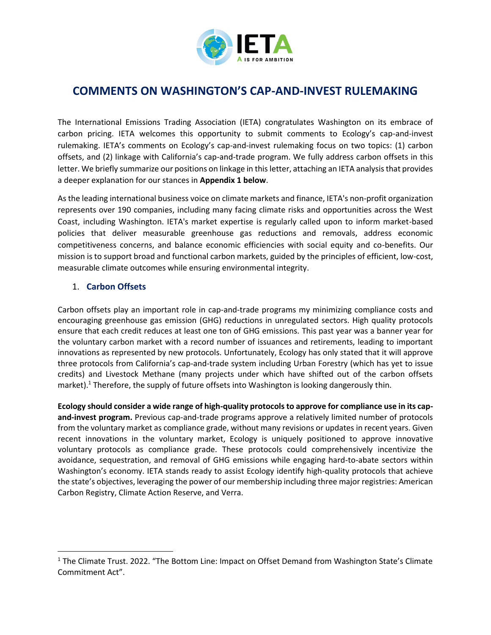

# **COMMENTS ON WASHINGTON'S CAP-AND-INVEST RULEMAKING**

The International Emissions Trading Association (IETA) congratulates Washington on its embrace of carbon pricing. IETA welcomes this opportunity to submit comments to Ecology's cap-and-invest rulemaking. IETA's comments on Ecology's cap-and-invest rulemaking focus on two topics: (1) carbon offsets, and (2) linkage with California's cap-and-trade program. We fully address carbon offsets in this letter. We briefly summarize our positions on linkage in this letter, attaching an IETA analysis that provides a deeper explanation for our stances in **Appendix 1 below**.

As the leading international business voice on climate markets and finance, IETA's non-profit organization represents over 190 companies, including many facing climate risks and opportunities across the West Coast, including Washington. IETA's market expertise is regularly called upon to inform market-based policies that deliver measurable greenhouse gas reductions and removals, address economic competitiveness concerns, and balance economic efficiencies with social equity and co-benefits. Our mission is to support broad and functional carbon markets, guided by the principles of efficient, low-cost, measurable climate outcomes while ensuring environmental integrity.

# 1. **Carbon Offsets**

Carbon offsets play an important role in cap-and-trade programs my minimizing compliance costs and encouraging greenhouse gas emission (GHG) reductions in unregulated sectors. High quality protocols ensure that each credit reduces at least one ton of GHG emissions. This past year was a banner year for the voluntary carbon market with a record number of issuances and retirements, leading to important innovations as represented by new protocols. Unfortunately, Ecology has only stated that it will approve three protocols from California's cap-and-trade system including Urban Forestry (which has yet to issue credits) and Livestock Methane (many projects under which have shifted out of the carbon offsets market).<sup>1</sup> Therefore, the supply of future offsets into Washington is looking dangerously thin.

**Ecology should consider a wide range of high-quality protocols to approve for compliance use in its capand-invest program.** Previous cap-and-trade programs approve a relatively limited number of protocols from the voluntary market as compliance grade, without many revisions or updates in recent years. Given recent innovations in the voluntary market, Ecology is uniquely positioned to approve innovative voluntary protocols as compliance grade. These protocols could comprehensively incentivize the avoidance, sequestration, and removal of GHG emissions while engaging hard-to-abate sectors within Washington's economy. IETA stands ready to assist Ecology identify high-quality protocols that achieve the state's objectives, leveraging the power of our membership including three major registries: American Carbon Registry, Climate Action Reserve, and Verra.

<sup>&</sup>lt;sup>1</sup> The Climate Trust. 2022. "The Bottom Line: Impact on Offset Demand from Washington State's Climate Commitment Act".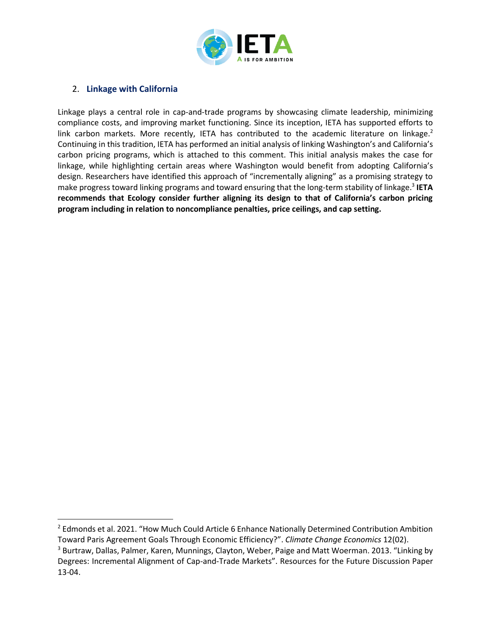

## 2. **Linkage with California**

Linkage plays a central role in cap-and-trade programs by showcasing climate leadership, minimizing compliance costs, and improving market functioning. Since its inception, IETA has supported efforts to link carbon markets. More recently, IETA has contributed to the academic literature on linkage. $2$ Continuing in this tradition, IETA has performed an initial analysis of linking Washington's and California's carbon pricing programs, which is attached to this comment. This initial analysis makes the case for linkage, while highlighting certain areas where Washington would benefit from adopting California's design. Researchers have identified this approach of "incrementally aligning" as a promising strategy to make progress toward linking programs and toward ensuring that the long-term stability of linkage.<sup>3</sup> IETA **recommends that Ecology consider further aligning its design to that of California's carbon pricing program including in relation to noncompliance penalties, price ceilings, and cap setting.** 

<sup>&</sup>lt;sup>2</sup> Edmonds et al. 2021. "How Much Could Article 6 Enhance Nationally Determined Contribution Ambition

Toward Paris Agreement Goals Through Economic Efficiency?". *Climate Change Economics* 12(02).

<sup>&</sup>lt;sup>3</sup> Burtraw, Dallas, Palmer, Karen, Munnings, Clayton, Weber, Paige and Matt Woerman. 2013. "Linking by Degrees: Incremental Alignment of Cap-and-Trade Markets". Resources for the Future Discussion Paper 13-04.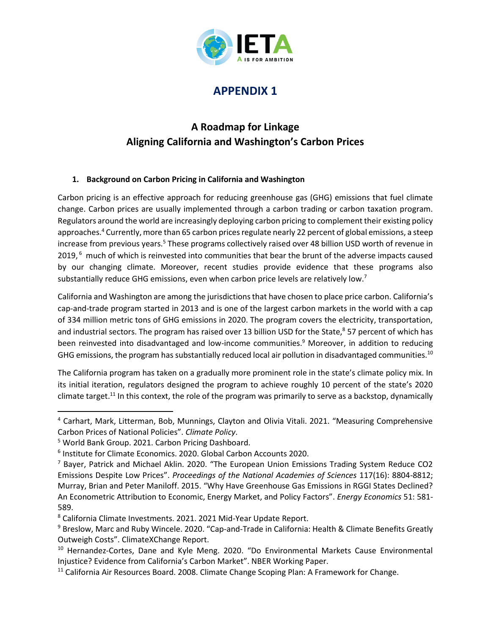

# **APPENDIX 1**

# **A Roadmap for Linkage Aligning California and Washington's Carbon Prices**

# **1. Background on Carbon Pricing in California and Washington**

Carbon pricing is an effective approach for reducing greenhouse gas (GHG) emissions that fuel climate change. Carbon prices are usually implemented through a carbon trading or carbon taxation program. Regulators around the world are increasingly deploying carbon pricing to complement their existing policy approaches.<sup>4</sup> Currently, more than 65 carbon prices regulate nearly 22 percent of global emissions, a steep increase from previous years.<sup>5</sup> These programs collectively raised over 48 billion USD worth of revenue in 2019,<sup>6</sup> much of which is reinvested into communities that bear the brunt of the adverse impacts caused by our changing climate. Moreover, recent studies provide evidence that these programs also substantially reduce GHG emissions, even when carbon price levels are relatively low.<sup>7</sup>

California and Washington are among the jurisdictions that have chosen to place price carbon. California's cap-and-trade program started in 2013 and is one of the largest carbon markets in the world with a cap of 334 million metric tons of GHG emissions in 2020. The program covers the electricity, transportation, and industrial sectors. The program has raised over 13 billion USD for the State,<sup>8</sup> 57 percent of which has been reinvested into disadvantaged and low-income communities.<sup>9</sup> Moreover, in addition to reducing GHG emissions, the program has substantially reduced local air pollution in disadvantaged communities.<sup>10</sup>

The California program has taken on a gradually more prominent role in the state's climate policy mix. In its initial iteration, regulators designed the program to achieve roughly 10 percent of the state's 2020 climate target.<sup>11</sup> In this context, the role of the program was primarily to serve as a backstop, dynamically

<sup>4</sup> Carhart, Mark, Litterman, Bob, Munnings, Clayton and Olivia Vitali. 2021. "Measuring Comprehensive Carbon Prices of National Policies". *Climate Policy*.

<sup>5</sup> World Bank Group. 2021. Carbon Pricing Dashboard.

<sup>6</sup> Institute for Climate Economics. 2020. Global Carbon Accounts 2020.

<sup>7</sup> Bayer, Patrick and Michael Aklin. 2020. "The European Union Emissions Trading System Reduce CO2 Emissions Despite Low Prices". *Proceedings of the National Academies of Sciences* 117(16): 8804-8812; Murray, Brian and Peter Maniloff. 2015. "Why Have Greenhouse Gas Emissions in RGGI States Declined? An Econometric Attribution to Economic, Energy Market, and Policy Factors". *Energy Economics* 51: 581- 589.

<sup>8</sup> California Climate Investments. 2021. 2021 Mid-Year Update Report.

<sup>9</sup> Breslow, Marc and Ruby Wincele. 2020. "Cap-and-Trade in California: Health & Climate Benefits Greatly Outweigh Costs". ClimateXChange Report.

<sup>&</sup>lt;sup>10</sup> Hernandez-Cortes, Dane and Kyle Meng. 2020. "Do Environmental Markets Cause Environmental Injustice? Evidence from California's Carbon Market". NBER Working Paper.

<sup>&</sup>lt;sup>11</sup> California Air Resources Board. 2008. Climate Change Scoping Plan: A Framework for Change.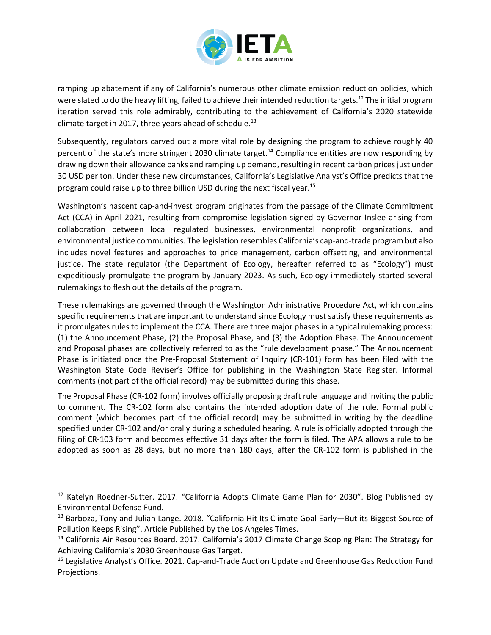

ramping up abatement if any of California's numerous other climate emission reduction policies, which were slated to do the heavy lifting, failed to achieve their intended reduction targets.<sup>12</sup> The initial program iteration served this role admirably, contributing to the achievement of California's 2020 statewide climate target in 2017, three years ahead of schedule. $^{13}$ 

Subsequently, regulators carved out a more vital role by designing the program to achieve roughly 40 percent of the state's more stringent 2030 climate target.<sup>14</sup> Compliance entities are now responding by drawing down their allowance banks and ramping up demand, resulting in recent carbon prices just under 30 USD per ton. Under these new circumstances, California's Legislative Analyst's Office predicts that the program could raise up to three billion USD during the next fiscal year.<sup>15</sup>

Washington's nascent cap-and-invest program originates from the passage of the Climate Commitment Act (CCA) in April 2021, resulting from compromise legislation signed by Governor Inslee arising from collaboration between local regulated businesses, environmental nonprofit organizations, and environmental justice communities. The legislation resembles California's cap-and-trade program but also includes novel features and approaches to price management, carbon offsetting, and environmental justice. The state regulator (the Department of Ecology, hereafter referred to as "Ecology") must expeditiously promulgate the program by January 2023. As such, Ecology immediately started several rulemakings to flesh out the details of the program.

These rulemakings are governed through the Washington Administrative Procedure Act, which contains specific requirements that are important to understand since Ecology must satisfy these requirements as it promulgates rules to implement the CCA. There are three major phases in a typical rulemaking process: (1) the Announcement Phase, (2) the Proposal Phase, and (3) the Adoption Phase. The Announcement and Proposal phases are collectively referred to as the "rule development phase." The Announcement Phase is initiated once the Pre-Proposal Statement of Inquiry (CR-101) form has been filed with the Washington State Code Reviser's Office for publishing in the Washington State Register. Informal comments (not part of the official record) may be submitted during this phase.

The Proposal Phase (CR-102 form) involves officially proposing draft rule language and inviting the public to comment. The CR-102 form also contains the intended adoption date of the rule. Formal public comment (which becomes part of the official record) may be submitted in writing by the deadline specified under CR-102 and/or orally during a scheduled hearing. A rule is officially adopted through the filing of CR-103 form and becomes effective 31 days after the form is filed. The APA allows a rule to be adopted as soon as 28 days, but no more than 180 days, after the CR-102 form is published in the

<sup>&</sup>lt;sup>12</sup> Katelyn Roedner-Sutter. 2017. "California Adopts Climate Game Plan for 2030". Blog Published by Environmental Defense Fund.

<sup>&</sup>lt;sup>13</sup> Barboza, Tony and Julian Lange. 2018. "California Hit Its Climate Goal Early—But its Biggest Source of Pollution Keeps Rising". Article Published by the Los Angeles Times.

<sup>&</sup>lt;sup>14</sup> California Air Resources Board. 2017. California's 2017 Climate Change Scoping Plan: The Strategy for Achieving California's 2030 Greenhouse Gas Target.

<sup>&</sup>lt;sup>15</sup> Legislative Analyst's Office. 2021. Cap-and-Trade Auction Update and Greenhouse Gas Reduction Fund Projections.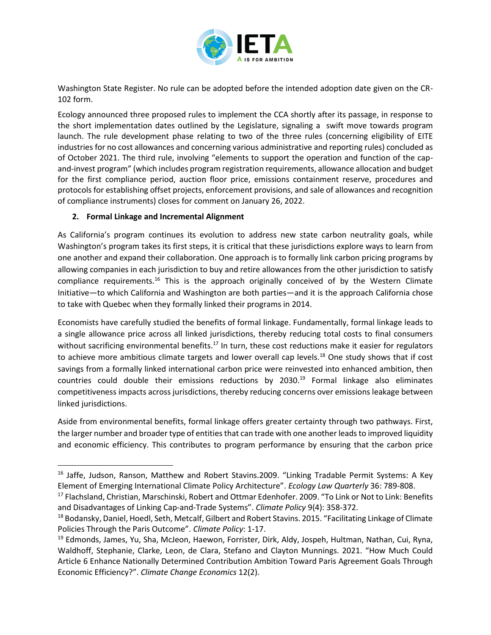

Washington State Register. No rule can be adopted before the intended adoption date given on the CR-102 form.

Ecology announced three proposed rules to implement the CCA shortly after its passage, in response to the short implementation dates outlined by the Legislature, signaling a swift move towards program launch. The rule development phase relating to two of the three rules (concerning eligibility of EITE industries for no cost allowances and concerning various administrative and reporting rules) concluded as of October 2021. The third rule, involving "elements to support the operation and function of the capand-invest program" (which includes program registration requirements, allowance allocation and budget for the first compliance period, auction floor price, emissions containment reserve, procedures and protocols for establishing offset projects, enforcement provisions, and sale of allowances and recognition of compliance instruments) closes for comment on January 26, 2022.

#### **2. Formal Linkage and Incremental Alignment**

As California's program continues its evolution to address new state carbon neutrality goals, while Washington's program takes its first steps, it is critical that these jurisdictions explore ways to learn from one another and expand their collaboration. One approach is to formally link carbon pricing programs by allowing companies in each jurisdiction to buy and retire allowances from the other jurisdiction to satisfy compliance requirements.<sup>16</sup> This is the approach originally conceived of by the Western Climate Initiative—to which California and Washington are both parties—and it is the approach California chose to take with Quebec when they formally linked their programs in 2014.

Economists have carefully studied the benefits of formal linkage. Fundamentally, formal linkage leads to a single allowance price across all linked jurisdictions, thereby reducing total costs to final consumers without sacrificing environmental benefits.<sup>17</sup> In turn, these cost reductions make it easier for regulators to achieve more ambitious climate targets and lower overall cap levels.<sup>18</sup> One study shows that if cost savings from a formally linked international carbon price were reinvested into enhanced ambition, then countries could double their emissions reductions by  $2030<sup>19</sup>$  Formal linkage also eliminates competitiveness impacts across jurisdictions, thereby reducing concerns over emissions leakage between linked jurisdictions.

Aside from environmental benefits, formal linkage offers greater certainty through two pathways. First, the larger number and broader type of entities that can trade with one another leads to improved liquidity and economic efficiency. This contributes to program performance by ensuring that the carbon price

<sup>&</sup>lt;sup>16</sup> Jaffe, Judson, Ranson, Matthew and Robert Stavins.2009. "Linking Tradable Permit Systems: A Key Element of Emerging International Climate Policy Architecture". *Ecology Law Quarterly* 36: 789-808.

<sup>&</sup>lt;sup>17</sup> Flachsland, Christian, Marschinski, Robert and Ottmar Edenhofer. 2009. "To Link or Not to Link: Benefits and Disadvantages of Linking Cap-and-Trade Systems". *Climate Policy* 9(4): 358-372.

<sup>18</sup> Bodansky, Daniel, Hoedl, Seth, Metcalf, Gilbert and Robert Stavins. 2015. "Facilitating Linkage of Climate Policies Through the Paris Outcome". *Climate Policy*: 1-17.

<sup>&</sup>lt;sup>19</sup> Edmonds, James, Yu, Sha, McJeon, Haewon, Forrister, Dirk, Aldy, Jospeh, Hultman, Nathan, Cui, Ryna, Waldhoff, Stephanie, Clarke, Leon, de Clara, Stefano and Clayton Munnings. 2021. "How Much Could Article 6 Enhance Nationally Determined Contribution Ambition Toward Paris Agreement Goals Through Economic Efficiency?". *Climate Change Economics* 12(2).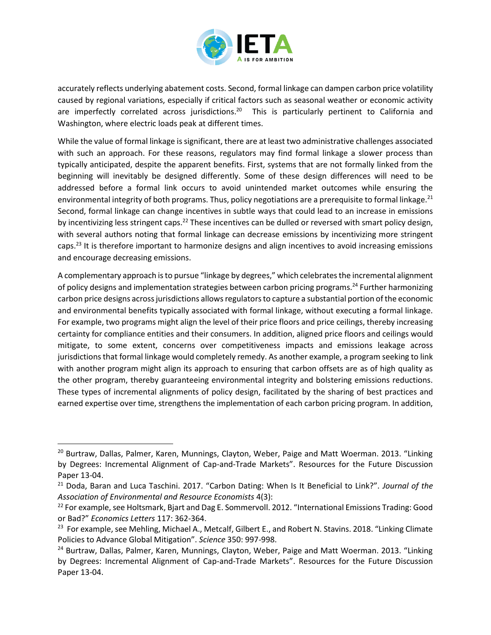

accurately reflects underlying abatement costs. Second, formal linkage can dampen carbon price volatility caused by regional variations, especially if critical factors such as seasonal weather or economic activity are imperfectly correlated across jurisdictions.<sup>20</sup> This is particularly pertinent to California and Washington, where electric loads peak at different times.

While the value of formal linkage is significant, there are at least two administrative challenges associated with such an approach. For these reasons, regulators may find formal linkage a slower process than typically anticipated, despite the apparent benefits. First, systems that are not formally linked from the beginning will inevitably be designed differently. Some of these design differences will need to be addressed before a formal link occurs to avoid unintended market outcomes while ensuring the environmental integrity of both programs. Thus, policy negotiations are a prerequisite to formal linkage.<sup>21</sup> Second, formal linkage can change incentives in subtle ways that could lead to an increase in emissions by incentivizing less stringent caps.<sup>22</sup> These incentives can be dulled or reversed with smart policy design, with several authors noting that formal linkage can decrease emissions by incentivizing more stringent caps.<sup>23</sup> It is therefore important to harmonize designs and align incentives to avoid increasing emissions and encourage decreasing emissions.

A complementary approach is to pursue "linkage by degrees," which celebrates the incremental alignment of policy designs and implementation strategies between carbon pricing programs.<sup>24</sup> Further harmonizing carbon price designs across jurisdictions allows regulators to capture a substantial portion of the economic and environmental benefits typically associated with formal linkage, without executing a formal linkage. For example, two programs might align the level of their price floors and price ceilings, thereby increasing certainty for compliance entities and their consumers. In addition, aligned price floors and ceilings would mitigate, to some extent, concerns over competitiveness impacts and emissions leakage across jurisdictions that formal linkage would completely remedy. As another example, a program seeking to link with another program might align its approach to ensuring that carbon offsets are as of high quality as the other program, thereby guaranteeing environmental integrity and bolstering emissions reductions. These types of incremental alignments of policy design, facilitated by the sharing of best practices and earned expertise over time, strengthens the implementation of each carbon pricing program. In addition,

<sup>&</sup>lt;sup>20</sup> Burtraw, Dallas, Palmer, Karen, Munnings, Clayton, Weber, Paige and Matt Woerman. 2013. "Linking by Degrees: Incremental Alignment of Cap-and-Trade Markets". Resources for the Future Discussion Paper 13-04.

<sup>21</sup> Doda, Baran and Luca Taschini. 2017. "Carbon Dating: When Is It Beneficial to Link?". *Journal of the Association of Environmental and Resource Economists* 4(3):

<sup>&</sup>lt;sup>22</sup> For example, see Holtsmark, Bjart and Dag E. Sommervoll. 2012. "International Emissions Trading: Good or Bad?" *Economics Letters* 117: 362-364.

<sup>&</sup>lt;sup>23</sup> For example, see Mehling, Michael A., Metcalf, Gilbert E., and Robert N. Stavins. 2018. "Linking Climate Policies to Advance Global Mitigation". *Science* 350: 997-998.

<sup>&</sup>lt;sup>24</sup> Burtraw, Dallas, Palmer, Karen, Munnings, Clayton, Weber, Paige and Matt Woerman. 2013. "Linking by Degrees: Incremental Alignment of Cap-and-Trade Markets". Resources for the Future Discussion Paper 13-04.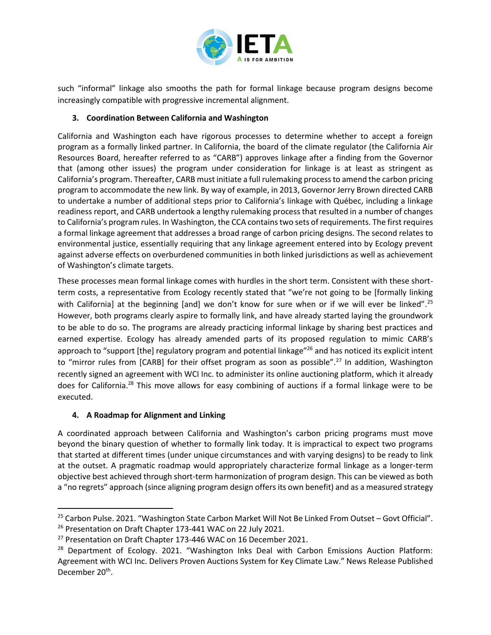

such "informal" linkage also smooths the path for formal linkage because program designs become increasingly compatible with progressive incremental alignment.

#### **3. Coordination Between California and Washington**

California and Washington each have rigorous processes to determine whether to accept a foreign program as a formally linked partner. In California, the board of the climate regulator (the California Air Resources Board, hereafter referred to as "CARB") approves linkage after a finding from the Governor that (among other issues) the program under consideration for linkage is at least as stringent as California's program. Thereafter, CARB must initiate a full rulemaking process to amend the carbon pricing program to accommodate the new link. By way of example, in 2013, Governor Jerry Brown directed CARB to undertake a number of additional steps prior to California's linkage with Québec, including a linkage readiness report, and CARB undertook a lengthy rulemaking process that resulted in a number of changes to California's program rules. In Washington, the CCA contains two sets of requirements. The first requires a formal linkage agreement that addresses a broad range of carbon pricing designs. The second relates to environmental justice, essentially requiring that any linkage agreement entered into by Ecology prevent against adverse effects on overburdened communities in both linked jurisdictions as well as achievement of Washington's climate targets.

These processes mean formal linkage comes with hurdles in the short term. Consistent with these shortterm costs, a representative from Ecology recently stated that "we're not going to be [formally linking with California] at the beginning [and] we don't know for sure when or if we will ever be linked".<sup>25</sup> However, both programs clearly aspire to formally link, and have already started laying the groundwork to be able to do so. The programs are already practicing informal linkage by sharing best practices and earned expertise. Ecology has already amended parts of its proposed regulation to mimic CARB's approach to "support [the] regulatory program and potential linkage"<sup>26</sup> and has noticed its explicit intent to "mirror rules from [CARB] for their offset program as soon as possible".<sup>27</sup> In addition, Washington recently signed an agreement with WCI Inc. to administer its online auctioning platform, which it already does for California.<sup>28</sup> This move allows for easy combining of auctions if a formal linkage were to be executed.

#### **4. A Roadmap for Alignment and Linking**

A coordinated approach between California and Washington's carbon pricing programs must move beyond the binary question of whether to formally link today. It is impractical to expect two programs that started at different times (under unique circumstances and with varying designs) to be ready to link at the outset. A pragmatic roadmap would appropriately characterize formal linkage as a longer-term objective best achieved through short-term harmonization of program design. This can be viewed as both a "no regrets" approach (since aligning program design offers its own benefit) and as a measured strategy

<sup>&</sup>lt;sup>25</sup> Carbon Pulse. 2021. "Washington State Carbon Market Will Not Be Linked From Outset – Govt Official". <sup>26</sup> Presentation on Draft Chapter 173-441 WAC on 22 July 2021.

<sup>&</sup>lt;sup>27</sup> Presentation on Draft Chapter 173-446 WAC on 16 December 2021.

 $28$  Department of Ecology. 2021. "Washington Inks Deal with Carbon Emissions Auction Platform: Agreement with WCI Inc. Delivers Proven Auctions System for Key Climate Law." News Release Published December 20<sup>th</sup>.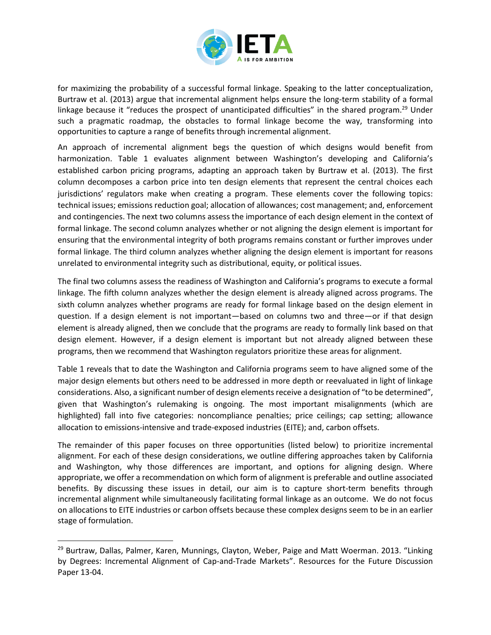

for maximizing the probability of a successful formal linkage. Speaking to the latter conceptualization, Burtraw et al. (2013) argue that incremental alignment helps ensure the long-term stability of a formal linkage because it "reduces the prospect of unanticipated difficulties" in the shared program.<sup>29</sup> Under such a pragmatic roadmap, the obstacles to formal linkage become the way, transforming into opportunities to capture a range of benefits through incremental alignment.

An approach of incremental alignment begs the question of which designs would benefit from harmonization. Table 1 evaluates alignment between Washington's developing and California's established carbon pricing programs, adapting an approach taken by Burtraw et al. (2013). The first column decomposes a carbon price into ten design elements that represent the central choices each jurisdictions' regulators make when creating a program. These elements cover the following topics: technical issues; emissions reduction goal; allocation of allowances; cost management; and, enforcement and contingencies. The next two columns assess the importance of each design element in the context of formal linkage. The second column analyzes whether or not aligning the design element is important for ensuring that the environmental integrity of both programs remains constant or further improves under formal linkage. The third column analyzes whether aligning the design element is important for reasons unrelated to environmental integrity such as distributional, equity, or political issues.

The final two columns assess the readiness of Washington and California's programs to execute a formal linkage. The fifth column analyzes whether the design element is already aligned across programs. The sixth column analyzes whether programs are ready for formal linkage based on the design element in question. If a design element is not important—based on columns two and three—or if that design element is already aligned, then we conclude that the programs are ready to formally link based on that design element. However, if a design element is important but not already aligned between these programs, then we recommend that Washington regulators prioritize these areas for alignment.

Table 1 reveals that to date the Washington and California programs seem to have aligned some of the major design elements but others need to be addressed in more depth or reevaluated in light of linkage considerations. Also, a significant number of design elements receive a designation of "to be determined", given that Washington's rulemaking is ongoing. The most important misalignments (which are highlighted) fall into five categories: noncompliance penalties; price ceilings; cap setting; allowance allocation to emissions-intensive and trade-exposed industries (EITE); and, carbon offsets.

The remainder of this paper focuses on three opportunities (listed below) to prioritize incremental alignment. For each of these design considerations, we outline differing approaches taken by California and Washington, why those differences are important, and options for aligning design. Where appropriate, we offer a recommendation on which form of alignment is preferable and outline associated benefits. By discussing these issues in detail, our aim is to capture short-term benefits through incremental alignment while simultaneously facilitating formal linkage as an outcome. We do not focus on allocations to EITE industries or carbon offsets because these complex designs seem to be in an earlier stage of formulation.

<sup>&</sup>lt;sup>29</sup> Burtraw, Dallas, Palmer, Karen, Munnings, Clayton, Weber, Paige and Matt Woerman. 2013. "Linking by Degrees: Incremental Alignment of Cap-and-Trade Markets". Resources for the Future Discussion Paper 13-04.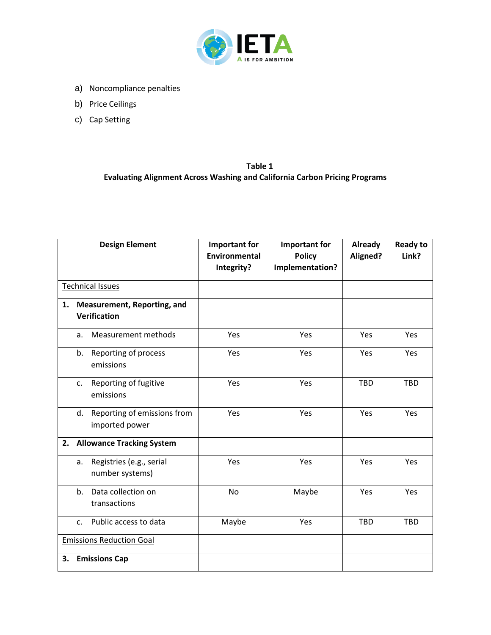

- a) Noncompliance penalties
- b) Price Ceilings
- c) Cap Setting

# **Table 1 Evaluating Alignment Across Washing and California Carbon Pricing Programs**

| <b>Design Element</b>                                    | <b>Important for</b><br><b>Environmental</b> | Important for<br><b>Policy</b> | Already<br>Aligned? | <b>Ready to</b><br>Link? |
|----------------------------------------------------------|----------------------------------------------|--------------------------------|---------------------|--------------------------|
|                                                          | Integrity?                                   | Implementation?                |                     |                          |
| <b>Technical Issues</b>                                  |                                              |                                |                     |                          |
| <b>Measurement, Reporting, and</b><br>1.<br>Verification |                                              |                                |                     |                          |
| <b>Measurement methods</b><br>a.                         | Yes                                          | Yes                            | Yes                 | Yes                      |
| Reporting of process<br>b.<br>emissions                  | Yes                                          | Yes                            | Yes                 | Yes                      |
| Reporting of fugitive<br>$C_{\star}$<br>emissions        | Yes                                          | Yes                            | <b>TBD</b>          | <b>TBD</b>               |
| Reporting of emissions from<br>d.<br>imported power      | Yes                                          | Yes                            | Yes                 | Yes                      |
| <b>Allowance Tracking System</b><br>2.                   |                                              |                                |                     |                          |
| Registries (e.g., serial<br>a.<br>number systems)        | Yes                                          | Yes                            | Yes                 | Yes                      |
| Data collection on<br>b.<br>transactions                 | <b>No</b>                                    | Maybe                          | Yes                 | Yes                      |
| Public access to data<br>C <sub>1</sub>                  | Maybe                                        | Yes                            | <b>TBD</b>          | <b>TBD</b>               |
| <b>Emissions Reduction Goal</b>                          |                                              |                                |                     |                          |
| <b>Emissions Cap</b><br>3.                               |                                              |                                |                     |                          |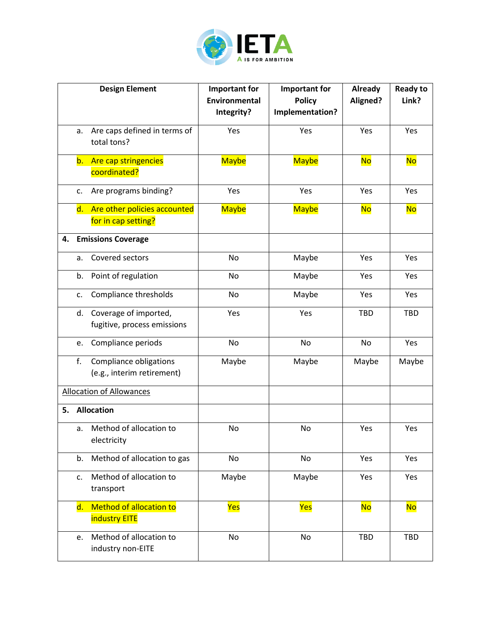

|                                 | <b>Design Element</b>                                | <b>Important for</b><br>Environmental | <b>Important for</b><br><b>Policy</b> | Already<br>Aligned? | <b>Ready to</b><br>Link? |
|---------------------------------|------------------------------------------------------|---------------------------------------|---------------------------------------|---------------------|--------------------------|
|                                 |                                                      | Integrity?                            | Implementation?                       |                     |                          |
| а.                              | Are caps defined in terms of<br>total tons?          | Yes                                   | Yes                                   | Yes                 | Yes                      |
|                                 | Are cap stringencies<br>b. .<br>coordinated?         | <b>Maybe</b>                          | <b>Maybe</b>                          | <b>No</b>           | <b>No</b>                |
| c.                              | Are programs binding?                                | Yes                                   | Yes                                   | Yes                 | Yes                      |
| d.                              | Are other policies accounted<br>for in cap setting?  | <b>Maybe</b>                          | <b>Maybe</b>                          | <b>No</b>           | <b>No</b>                |
| 4.                              | <b>Emissions Coverage</b>                            |                                       |                                       |                     |                          |
| a.                              | Covered sectors                                      | No                                    | Maybe                                 | Yes                 | Yes                      |
| b.                              | Point of regulation                                  | No                                    | Maybe                                 | Yes                 | Yes                      |
| c.                              | Compliance thresholds                                | No                                    | Maybe                                 | Yes                 | Yes                      |
| d.                              | Coverage of imported,<br>fugitive, process emissions | Yes                                   | Yes                                   | <b>TBD</b>          | <b>TBD</b>               |
| e.                              | Compliance periods                                   | No                                    | No                                    | No                  | Yes                      |
| f.                              | Compliance obligations<br>(e.g., interim retirement) | Maybe                                 | Maybe                                 | Maybe               | Maybe                    |
| <b>Allocation of Allowances</b> |                                                      |                                       |                                       |                     |                          |
| 5.                              | <b>Allocation</b>                                    |                                       |                                       |                     |                          |
| a.                              | Method of allocation to<br>electricity               | No                                    | No                                    | Yes                 | Yes                      |
| b.                              | Method of allocation to gas                          | No                                    | No                                    | Yes                 | Yes                      |
| c.                              | Method of allocation to<br>transport                 | Maybe                                 | Maybe                                 | Yes                 | Yes                      |
| $\mathsf{d}.$                   | Method of allocation to<br><b>industry EITE</b>      | <mark>Yes</mark>                      | Yes                                   | <mark>No</mark>     | <b>No</b>                |
| e.                              | Method of allocation to<br>industry non-EITE         | No                                    | No                                    | <b>TBD</b>          | <b>TBD</b>               |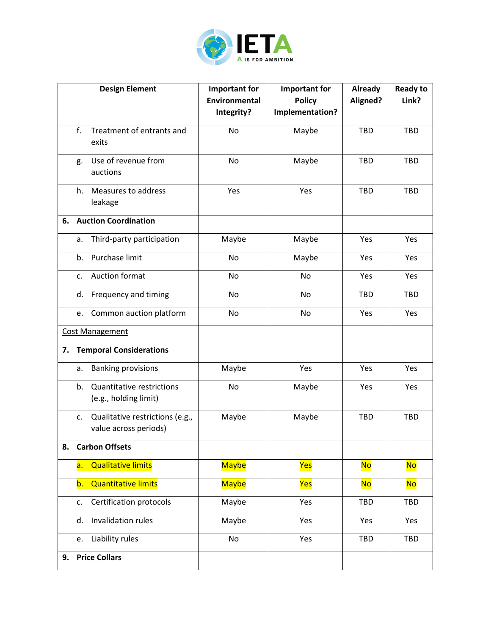

|    |    | <b>Design Element</b>                                     | <b>Important for</b><br>Environmental<br>Integrity? | <b>Important for</b><br><b>Policy</b><br>Implementation? | Already<br>Aligned? | <b>Ready to</b><br>Link? |
|----|----|-----------------------------------------------------------|-----------------------------------------------------|----------------------------------------------------------|---------------------|--------------------------|
|    |    |                                                           |                                                     |                                                          |                     |                          |
|    | f. | Treatment of entrants and<br>exits                        | <b>No</b>                                           | Maybe                                                    | <b>TBD</b>          | <b>TBD</b>               |
|    | g. | Use of revenue from<br>auctions                           | <b>No</b>                                           | Maybe                                                    | <b>TBD</b>          | <b>TBD</b>               |
|    | h. | Measures to address<br>leakage                            | Yes                                                 | Yes                                                      | <b>TBD</b>          | <b>TBD</b>               |
| 6. |    | <b>Auction Coordination</b>                               |                                                     |                                                          |                     |                          |
|    | a. | Third-party participation                                 | Maybe                                               | Maybe                                                    | Yes                 | Yes                      |
|    | b. | Purchase limit                                            | No                                                  | Maybe                                                    | Yes                 | Yes                      |
|    | c. | Auction format                                            | No                                                  | No                                                       | Yes                 | Yes                      |
|    | d. | Frequency and timing                                      | No                                                  | No                                                       | <b>TBD</b>          | <b>TBD</b>               |
|    | e. | Common auction platform                                   | No                                                  | No                                                       | Yes                 | Yes                      |
|    |    | <b>Cost Management</b>                                    |                                                     |                                                          |                     |                          |
| 7. |    | <b>Temporal Considerations</b>                            |                                                     |                                                          |                     |                          |
|    | a. | <b>Banking provisions</b>                                 | Maybe                                               | Yes                                                      | Yes                 | Yes                      |
|    | b. | <b>Quantitative restrictions</b><br>(e.g., holding limit) | No                                                  | Maybe                                                    | Yes                 | Yes                      |
|    | c. | Qualitative restrictions (e.g.,<br>value across periods)  | Maybe                                               | Maybe                                                    | TBD                 | <b>TBD</b>               |
| 8. |    | <b>Carbon Offsets</b>                                     |                                                     |                                                          |                     |                          |
|    | a. | <b>Qualitative limits</b>                                 | <b>Maybe</b>                                        | Yes                                                      | <b>No</b>           | <b>No</b>                |
|    | b. | <b>Quantitative limits</b>                                | <b>Maybe</b>                                        | Yes                                                      | <b>No</b>           | <b>No</b>                |
|    | c. | Certification protocols                                   | Maybe                                               | Yes                                                      | <b>TBD</b>          | <b>TBD</b>               |
|    | d. | Invalidation rules                                        | Maybe                                               | Yes                                                      | Yes                 | Yes                      |
|    | e. | Liability rules                                           | No                                                  | Yes                                                      | <b>TBD</b>          | <b>TBD</b>               |
| 9. |    | <b>Price Collars</b>                                      |                                                     |                                                          |                     |                          |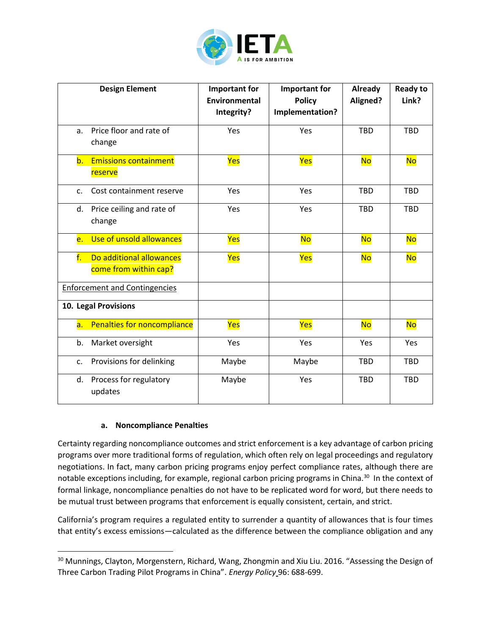

| <b>Design Element</b>                                   | Important for<br>Environmental<br>Integrity? | <b>Important for</b><br><b>Policy</b><br>Implementation? | Already<br>Aligned? | <b>Ready to</b><br>Link? |
|---------------------------------------------------------|----------------------------------------------|----------------------------------------------------------|---------------------|--------------------------|
| Price floor and rate of<br>a.<br>change                 | Yes                                          | Yes                                                      | <b>TBD</b>          | <b>TBD</b>               |
| <b>Emissions containment</b><br>b.<br>reserve           | Yes                                          | Yes                                                      | <b>No</b>           | <b>No</b>                |
| Cost containment reserve<br>c.                          | Yes                                          | Yes                                                      | <b>TBD</b>          | <b>TBD</b>               |
| Price ceiling and rate of<br>d.<br>change               | Yes                                          | Yes                                                      | <b>TBD</b>          | <b>TBD</b>               |
| Use of unsold allowances<br>e.                          | Yes                                          | <b>No</b>                                                | <b>No</b>           | <b>No</b>                |
| f.<br>Do additional allowances<br>come from within cap? | Yes                                          | Yes                                                      | <b>No</b>           | <b>No</b>                |
| <b>Enforcement and Contingencies</b>                    |                                              |                                                          |                     |                          |
| 10. Legal Provisions                                    |                                              |                                                          |                     |                          |
| Penalties for noncompliance<br>a.                       | Yes                                          | Yes                                                      | <b>No</b>           | <b>No</b>                |
| Market oversight<br>b.                                  | Yes                                          | Yes                                                      | Yes                 | Yes                      |
| Provisions for delinking<br>c.                          | Maybe                                        | Maybe                                                    | <b>TBD</b>          | <b>TBD</b>               |
| Process for regulatory<br>d.<br>updates                 | Maybe                                        | Yes                                                      | <b>TBD</b>          | <b>TBD</b>               |

#### **a. Noncompliance Penalties**

Certainty regarding noncompliance outcomes and strict enforcement is a key advantage of carbon pricing programs over more traditional forms of regulation, which often rely on legal proceedings and regulatory negotiations. In fact, many carbon pricing programs enjoy perfect compliance rates, although there are notable exceptions including, for example, regional carbon pricing programs in China.<sup>30</sup> In the context of formal linkage, noncompliance penalties do not have to be replicated word for word, but there needs to be mutual trust between programs that enforcement is equally consistent, certain, and strict.

California's program requires a regulated entity to surrender a quantity of allowances that is four times that entity's excess emissions—calculated as the difference between the compliance obligation and any

<sup>&</sup>lt;sup>30</sup> Munnings, Clayton, Morgenstern, Richard, Wang, Zhongmin and Xiu Liu. 2016. "Assessing the Design of Three Carbon Trading Pilot Programs in China". *Energy Policy* 96: 688-699.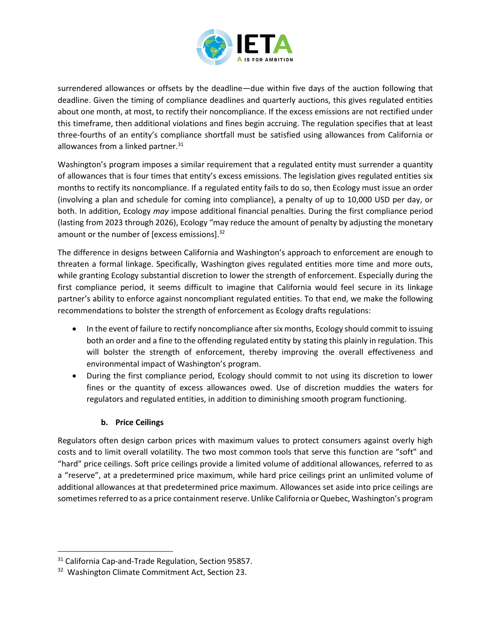

surrendered allowances or offsets by the deadline—due within five days of the auction following that deadline. Given the timing of compliance deadlines and quarterly auctions, this gives regulated entities about one month, at most, to rectify their noncompliance. If the excess emissions are not rectified under this timeframe, then additional violations and fines begin accruing. The regulation specifies that at least three-fourths of an entity's compliance shortfall must be satisfied using allowances from California or allowances from a linked partner. $31$ 

Washington's program imposes a similar requirement that a regulated entity must surrender a quantity of allowances that is four times that entity's excess emissions. The legislation gives regulated entities six months to rectify its noncompliance. If a regulated entity fails to do so, then Ecology must issue an order (involving a plan and schedule for coming into compliance), a penalty of up to 10,000 USD per day, or both. In addition, Ecology *may* impose additional financial penalties. During the first compliance period (lasting from 2023 through 2026), Ecology "may reduce the amount of penalty by adjusting the monetary amount or the number of [excess emissions].<sup>32</sup>

The difference in designs between California and Washington's approach to enforcement are enough to threaten a formal linkage. Specifically, Washington gives regulated entities more time and more outs, while granting Ecology substantial discretion to lower the strength of enforcement. Especially during the first compliance period, it seems difficult to imagine that California would feel secure in its linkage partner's ability to enforce against noncompliant regulated entities. To that end, we make the following recommendations to bolster the strength of enforcement as Ecology drafts regulations:

- In the event of failure to rectify noncompliance after six months, Ecology should commit to issuing both an order and a fine to the offending regulated entity by stating this plainly in regulation. This will bolster the strength of enforcement, thereby improving the overall effectiveness and environmental impact of Washington's program.
- During the first compliance period, Ecology should commit to not using its discretion to lower fines or the quantity of excess allowances owed. Use of discretion muddies the waters for regulators and regulated entities, in addition to diminishing smooth program functioning.

# **b. Price Ceilings**

Regulators often design carbon prices with maximum values to protect consumers against overly high costs and to limit overall volatility. The two most common tools that serve this function are "soft" and "hard" price ceilings. Soft price ceilings provide a limited volume of additional allowances, referred to as a "reserve", at a predetermined price maximum, while hard price ceilings print an unlimited volume of additional allowances at that predetermined price maximum. Allowances set aside into price ceilings are sometimes referred to as a price containment reserve. Unlike California or Quebec, Washington's program

<sup>&</sup>lt;sup>31</sup> California Cap-and-Trade Regulation, Section 95857.

<sup>&</sup>lt;sup>32</sup> Washington Climate Commitment Act, Section 23.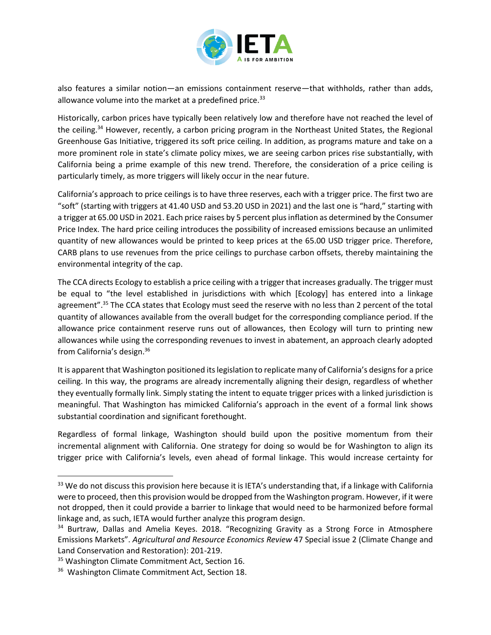

also features a similar notion—an emissions containment reserve—that withholds, rather than adds, allowance volume into the market at a predefined price. $33$ 

Historically, carbon prices have typically been relatively low and therefore have not reached the level of the ceiling.<sup>34</sup> However, recently, a carbon pricing program in the Northeast United States, the Regional Greenhouse Gas Initiative, triggered its soft price ceiling. In addition, as programs mature and take on a more prominent role in state's climate policy mixes, we are seeing carbon prices rise substantially, with California being a prime example of this new trend. Therefore, the consideration of a price ceiling is particularly timely, as more triggers will likely occur in the near future.

California's approach to price ceilings is to have three reserves, each with a trigger price. The first two are "soft" (starting with triggers at 41.40 USD and 53.20 USD in 2021) and the last one is "hard," starting with a trigger at 65.00 USD in 2021. Each price raises by 5 percent plus inflation as determined by the Consumer Price Index. The hard price ceiling introduces the possibility of increased emissions because an unlimited quantity of new allowances would be printed to keep prices at the 65.00 USD trigger price. Therefore, CARB plans to use revenues from the price ceilings to purchase carbon offsets, thereby maintaining the environmental integrity of the cap.

The CCA directs Ecology to establish a price ceiling with a trigger that increases gradually. The trigger must be equal to "the level established in jurisdictions with which [Ecology] has entered into a linkage agreement".<sup>35</sup> The CCA states that Ecology must seed the reserve with no less than 2 percent of the total quantity of allowances available from the overall budget for the corresponding compliance period. If the allowance price containment reserve runs out of allowances, then Ecology will turn to printing new allowances while using the corresponding revenues to invest in abatement, an approach clearly adopted from California's design.<sup>36</sup>

It is apparent that Washington positioned its legislation to replicate many of California's designs for a price ceiling. In this way, the programs are already incrementally aligning their design, regardless of whether they eventually formally link. Simply stating the intent to equate trigger prices with a linked jurisdiction is meaningful. That Washington has mimicked California's approach in the event of a formal link shows substantial coordination and significant forethought.

Regardless of formal linkage, Washington should build upon the positive momentum from their incremental alignment with California. One strategy for doing so would be for Washington to align its trigger price with California's levels, even ahead of formal linkage. This would increase certainty for

<sup>&</sup>lt;sup>33</sup> We do not discuss this provision here because it is IETA's understanding that, if a linkage with California were to proceed, then this provision would be dropped from the Washington program. However, if it were not dropped, then it could provide a barrier to linkage that would need to be harmonized before formal linkage and, as such, IETA would further analyze this program design.

<sup>&</sup>lt;sup>34</sup> Burtraw, Dallas and Amelia Keyes. 2018. "Recognizing Gravity as a Strong Force in Atmosphere Emissions Markets". *Agricultural and Resource Economics Review* 47 Special issue 2 (Climate Change and Land Conservation and Restoration): 201-219.

<sup>&</sup>lt;sup>35</sup> Washington Climate Commitment Act, Section 16.

<sup>&</sup>lt;sup>36</sup> Washington Climate Commitment Act, Section 18.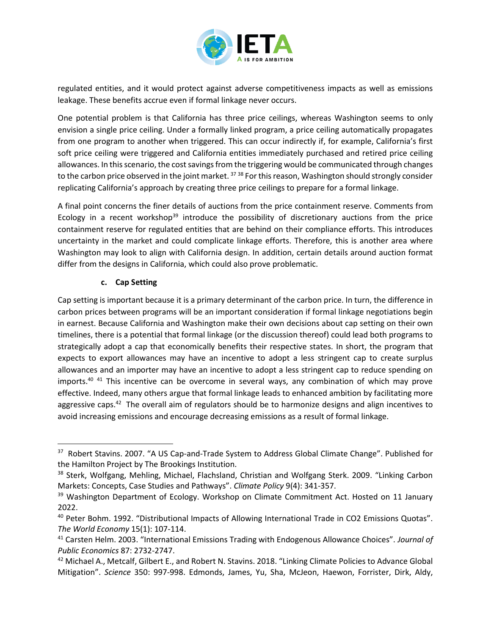

regulated entities, and it would protect against adverse competitiveness impacts as well as emissions leakage. These benefits accrue even if formal linkage never occurs.

One potential problem is that California has three price ceilings, whereas Washington seems to only envision a single price ceiling. Under a formally linked program, a price ceiling automatically propagates from one program to another when triggered. This can occur indirectly if, for example, California's first soft price ceiling were triggered and California entities immediately purchased and retired price ceiling allowances. In this scenario, the cost savings from the triggering would be communicated through changes to the carbon price observed in the joint market.<sup>37</sup> 38 For this reason, Washington should strongly consider replicating California's approach by creating three price ceilings to prepare for a formal linkage.

A final point concerns the finer details of auctions from the price containment reserve. Comments from Ecology in a recent workshop<sup>39</sup> introduce the possibility of discretionary auctions from the price containment reserve for regulated entities that are behind on their compliance efforts. This introduces uncertainty in the market and could complicate linkage efforts. Therefore, this is another area where Washington may look to align with California design. In addition, certain details around auction format differ from the designs in California, which could also prove problematic.

#### **c. Cap Setting**

Cap setting is important because it is a primary determinant of the carbon price. In turn, the difference in carbon prices between programs will be an important consideration if formal linkage negotiations begin in earnest. Because California and Washington make their own decisions about cap setting on their own timelines, there is a potential that formal linkage (or the discussion thereof) could lead both programs to strategically adopt a cap that economically benefits their respective states. In short, the program that expects to export allowances may have an incentive to adopt a less stringent cap to create surplus allowances and an importer may have an incentive to adopt a less stringent cap to reduce spending on imports.<sup>40</sup> <sup>41</sup> This incentive can be overcome in several ways, any combination of which may prove effective. Indeed, many others argue that formal linkage leads to enhanced ambition by facilitating more aggressive caps.<sup>42</sup> The overall aim of regulators should be to harmonize designs and align incentives to avoid increasing emissions and encourage decreasing emissions as a result of formal linkage.

<sup>&</sup>lt;sup>37</sup> Robert Stavins. 2007. "A US Cap-and-Trade System to Address Global Climate Change". Published for the Hamilton Project by The Brookings Institution.

<sup>&</sup>lt;sup>38</sup> Sterk, Wolfgang, Mehling, Michael, Flachsland, Christian and Wolfgang Sterk. 2009. "Linking Carbon Markets: Concepts, Case Studies and Pathways". *Climate Policy* 9(4): 341-357.

<sup>&</sup>lt;sup>39</sup> Washington Department of Ecology. Workshop on Climate Commitment Act. Hosted on 11 January 2022.

<sup>40</sup> Peter Bohm. 1992. "Distributional Impacts of Allowing International Trade in CO2 Emissions Quotas". *The World Economy* 15(1): 107-114.

<sup>41</sup> Carsten Helm. 2003. "International Emissions Trading with Endogenous Allowance Choices". *Journal of Public Economics* 87: 2732-2747.

<sup>&</sup>lt;sup>42</sup> Michael A., Metcalf, Gilbert E., and Robert N. Stavins. 2018. "Linking Climate Policies to Advance Global Mitigation". *Science* 350: 997-998. Edmonds, James, Yu, Sha, McJeon, Haewon, Forrister, Dirk, Aldy,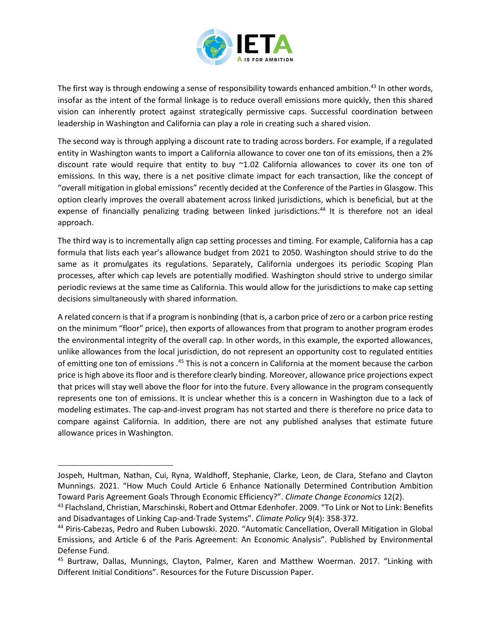

The first way is through endowing a sense of responsibility towards enhanced ambition.<sup>43</sup> In other words, insofar as the intent of the formal linkage is to reduce overall emissions more quickly, then this shared vision can inherently protect against strategically permissive caps. Successful coordination between leadership in Washington and California can play a role in creating such a shared vision.

The second way is through applying a discount rate to trading across borders. For example, if a regulated entity in Washington wants to import a California allowance to cover one ton of its emissions, then a 2% discount rate would require that entity to buy ~1.02 California allowances to cover its one ton of emissions. In this way, there is a net positive climate impact for each transaction, like the concept of "overall mitigation in global emissions" recently decided at the Conference of the Parties in Glasgow. This option clearly improves the overall abatement across linked jurisdictions, which is beneficial, but at the expense of financially penalizing trading between linked jurisdictions.<sup>44</sup> It is therefore not an ideal approach.

The third way is to incrementally align cap setting processes and timing. For example, California has a cap formula that lists each year's allowance budget from 2021 to 2050. Washington should strive to do the same as it promulgates its regulations. Separately, California undergoes its periodic Scoping Plan processes, after which cap levels are potentially modified. Washington should strive to undergo similar periodic reviews at the same time as California. This would allow for the jurisdictions to make cap setting decisions simultaneously with shared information.

A related concern is that if a program is nonbinding (that is, a carbon price of zero or a carbon price resting on the minimum "floor" price), then exports of allowances from that program to another program erodes the environmental integrity of the overall cap. In other words, in this example, the exported allowances, unlike allowances from the local jurisdiction, do not represent an opportunity cost to regulated entities of emitting one ton of emissions .<sup>45</sup> This is not a concern in California at the moment because the carbon price is high above its floor and is therefore clearly binding. Moreover, allowance price projections expect that prices will stay well above the floor for into the future. Every allowance in the program consequently represents one ton of emissions. It is unclear whether this is a concern in Washington due to a lack of modeling estimates. The cap-and-invest program has not started and there is therefore no price data to compare against California. In addition, there are not any published analyses that estimate future allowance prices in Washington.

Jospeh, Hultman, Nathan, Cui, Ryna, Waldhoff, Stephanie, Clarke, Leon, de Clara, Stefano and Clayton Munnings. 2021. "How Much Could Article 6 Enhance Nationally Determined Contribution Ambition Toward Paris Agreement Goals Through Economic Efficiency?". *Climate Change Economics* 12(2).

<sup>43</sup> Flachsland, Christian, Marschinski, Robert and Ottmar Edenhofer. 2009. "To Link or Not to Link: Benefits and Disadvantages of Linking Cap-and-Trade Systems". *Climate Policy* 9(4): 358-372.

<sup>44</sup> Piris-Cabezas, Pedro and Ruben Lubowski. 2020. "Automatic Cancellation, Overall Mitigation in Global Emissions, and Article 6 of the Paris Agreement: An Economic Analysis". Published by Environmental Defense Fund.

<sup>45</sup> Burtraw, Dallas, Munnings, Clayton, Palmer, Karen and Matthew Woerman. 2017. "Linking with Different Initial Conditions". Resources for the Future Discussion Paper.